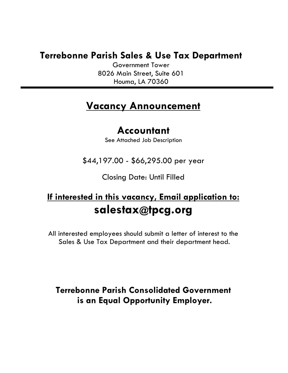# **Terrebonne Parish Sales & Use Tax Department**

Government Tower 8026 Main Street, Suite 601 Houma, LA 70360

# **Vacancy Announcement**

# **Accountant**

See Attached Job Description

\$44,197.00 - \$66,295.00 per year

Closing Date: Until Filled

# **If interested in this vacancy, Email application to: salestax@tpcg.org**

All interested employees should submit a letter of interest to the Sales & Use Tax Department and their department head.

**Terrebonne Parish Consolidated Government is an Equal Opportunity Employer.**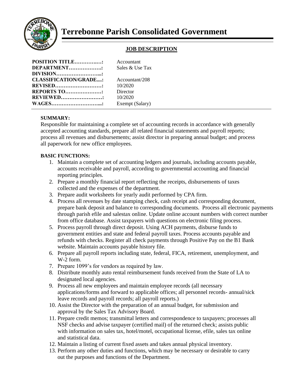

## **Terrebonne Parish Consolidated Government**

## **JOB DESCRIPTION**

| Accountant<br>Sales & Use Tax          |
|----------------------------------------|
| Accountant/208<br>10/2020              |
| Director<br>10/2020<br>Exempt (Salary) |
|                                        |

## **SUMMARY:**

Responsible for maintaining a complete set of accounting records in accordance with generally accepted accounting standards, prepare all related financial statements and payroll reports; process all revenues and disbursements; assist director in preparing annual budget; and process all paperwork for new office employees.

## **BASIC FUNCTIONS:**

- 1. Maintain a complete set of accounting ledgers and journals, including accounts payable, accounts receivable and payroll, according to governmental accounting and financial reporting principles.
- 2. Prepare a monthly financial report reflecting the receipts, disbursements of taxes collected and the expenses of the department.
- 3. Prepare audit worksheets for yearly audit performed by CPA firm.
- 4. Process all revenues by date stamping check, cash receipt and corresponding document, prepare bank deposit and balance to corresponding documents. Process all electronic payments through parish efile and salestax online. Update online account numbers with correct number from office database. Assist taxpayers with questions on electronic filing process.
- 5. Process payroll through direct deposit. Using ACH payments, disburse funds to government entities and state and federal payroll taxes. Process accounts payable and refunds with checks. Register all check payments through Positive Pay on the B1 Bank website. Maintain accounts payable history file.
- 6. Prepare all payroll reports including state, federal, FICA, retirement, unemployment, and W-2 form.
- 7. Prepare 1099's for vendors as required by law.
- 8. Distribute monthly auto rental reimbursement funds received from the State of LA to designated local agencies.
- 9. Process all new employees and maintain employee records (all necessary applications/forms and forward to applicable offices; all personnel records- annual/sick leave records and payroll records; all payroll reports.)
- 10. Assist the Director with the preparation of an annual budget, for submission and approval by the Sales Tax Advisory Board.
- 11. Prepare credit memos; transmittal letters and correspondence to taxpayers; processes all NSF checks and advise taxpayer (certified mail) of the returned check; assists public with information on sales tax, hotel/motel, occupational license, efile, sales tax online and statistical data.
- 12. Maintain a listing of current fixed assets and takes annual physical inventory.
- 13. Perform any other duties and functions, which may be necessary or desirable to carry out the purposes and functions of the Department.